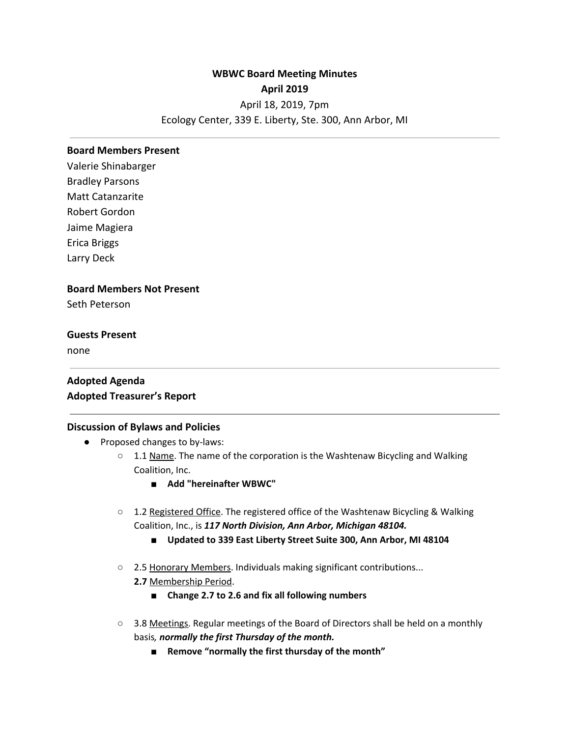# **WBWC Board Meeting Minutes April 2019** April 18, 2019, 7pm Ecology Center, 339 E. Liberty, Ste. 300, Ann Arbor, MI

#### **Board Members Present**

Valerie Shinabarger Bradley Parsons Matt Catanzarite Robert Gordon Jaime Magiera Erica Briggs Larry Deck

### **Board Members Not Present**

Seth Peterson

### **Guests Present**

none

## **Adopted Agenda Adopted Treasurer's Report**

### **Discussion of Bylaws and Policies**

- Proposed changes to by-laws:
	- 1.1 Name. The name of the corporation is the Washtenaw Bicycling and Walking Coalition, Inc.
		- **■ Add "hereinafter WBWC"**
	- 1.2 Registered Office. The registered office of the Washtenaw Bicycling & Walking Coalition, Inc., is *117 North Division, Ann Arbor, Michigan 48104.*
		- **Updated to 339 East Liberty Street Suite 300, Ann Arbor, MI 48104**
	- **○** 2.5 Honorary Members. Individuals making significant contributions... **2.7** Membership Period.
		- **■ Change 2.7 to 2.6 and fix all following numbers**
	- **○** 3.8 Meetings. Regular meetings of the Board of Directors shall be held on a monthly basis*, normally the first Thursday of the month.*
		- **■ Remove "normally the first thursday of the month"**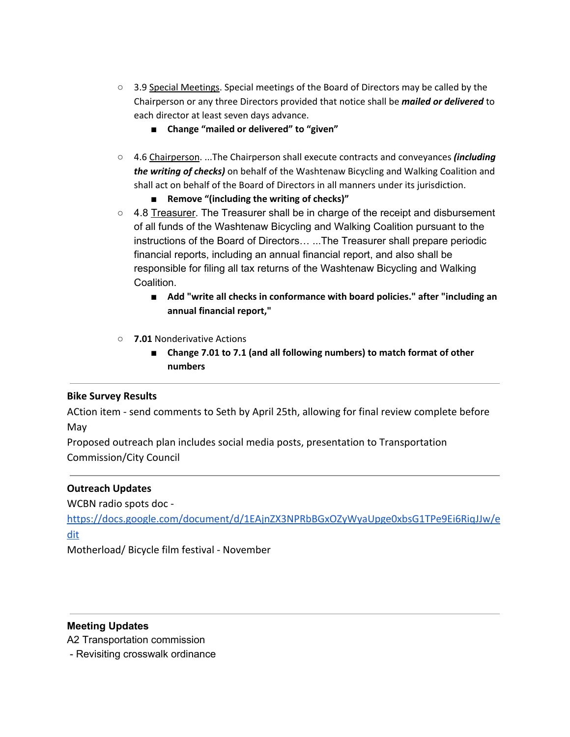- **○** 3.9 Special Meetings. Special meetings of the Board of Directors may be called by the Chairperson or any three Directors provided that notice shall be *mailed or delivered* to each director at least seven days advance.
	- **■ Change "mailed or delivered" to "given"**
- **○** 4.6 Chairperson. ...The Chairperson shall execute contracts and conveyances *(including the writing of checks)* on behalf of the Washtenaw Bicycling and Walking Coalition and shall act on behalf of the Board of Directors in all manners under its jurisdiction.
	- **■ Remove "(including the writing of checks)"**
- **○** 4.8 Treasurer. The Treasurer shall be in charge of the receipt and disbursement of all funds of the Washtenaw Bicycling and Walking Coalition pursuant to the instructions of the Board of Directors… ...The Treasurer shall prepare periodic financial reports, including an annual financial report, and also shall be responsible for filing all tax returns of the Washtenaw Bicycling and Walking Coalition.
	- **■ Add "write all checks in conformance with board policies." after "including an annual financial report,"**
- **○ 7.01** Nonderivative Actions
	- **■ Change 7.01 to 7.1 (and all following numbers) to match format of other numbers**

## **Bike Survey Results**

ACtion item - send comments to Seth by April 25th, allowing for final review complete before May

Proposed outreach plan includes social media posts, presentation to Transportation Commission/City Council

### **Outreach Updates**

WCBN radio spots doc -

[https://docs.google.com/document/d/1EAjnZX3NPRbBGxOZyWyaUpge0xbsG1TPe9Ei6RiqJJw/e](https://docs.google.com/document/d/1EAjnZX3NPRbBGxOZyWyaUpge0xbsG1TPe9Ei6RiqJJw/edit) [dit](https://docs.google.com/document/d/1EAjnZX3NPRbBGxOZyWyaUpge0xbsG1TPe9Ei6RiqJJw/edit)

Motherload/ Bicycle film festival - November

## **Meeting Updates**

A2 Transportation commission

- Revisiting crosswalk ordinance